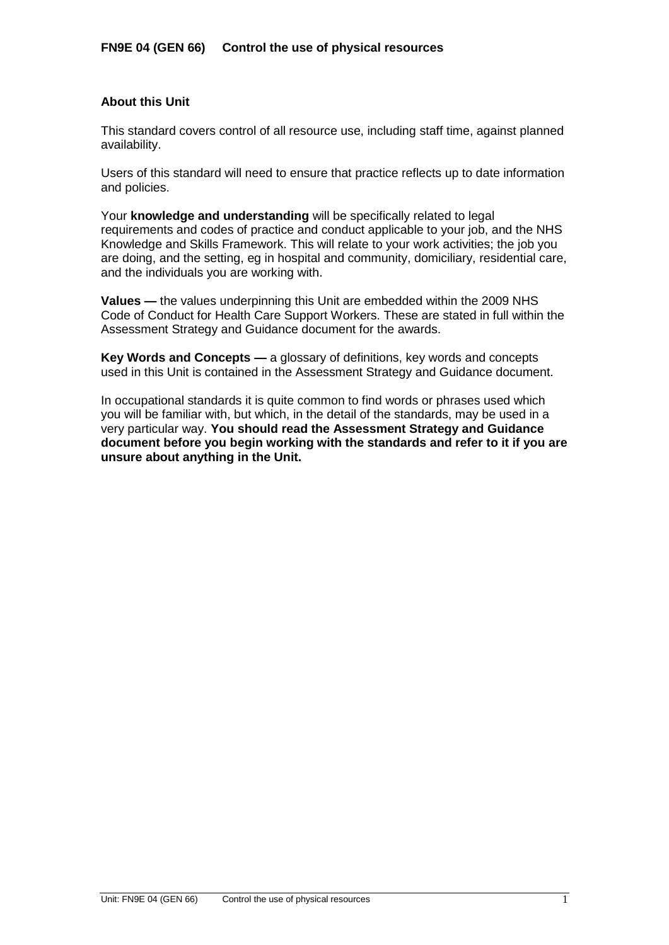## **About this Unit**

This standard covers control of all resource use, including staff time, against planned availability.

Users of this standard will need to ensure that practice reflects up to date information and policies.

Your **knowledge and understanding** will be specifically related to legal requirements and codes of practice and conduct applicable to your job, and the NHS Knowledge and Skills Framework. This will relate to your work activities; the job you are doing, and the setting, eg in hospital and community, domiciliary, residential care, and the individuals you are working with.

**Values —** the values underpinning this Unit are embedded within the 2009 NHS Code of Conduct for Health Care Support Workers. These are stated in full within the Assessment Strategy and Guidance document for the awards.

**Key Words and Concepts —** a glossary of definitions, key words and concepts used in this Unit is contained in the Assessment Strategy and Guidance document.

In occupational standards it is quite common to find words or phrases used which you will be familiar with, but which, in the detail of the standards, may be used in a very particular way. **You should read the Assessment Strategy and Guidance document before you begin working with the standards and refer to it if you are unsure about anything in the Unit.**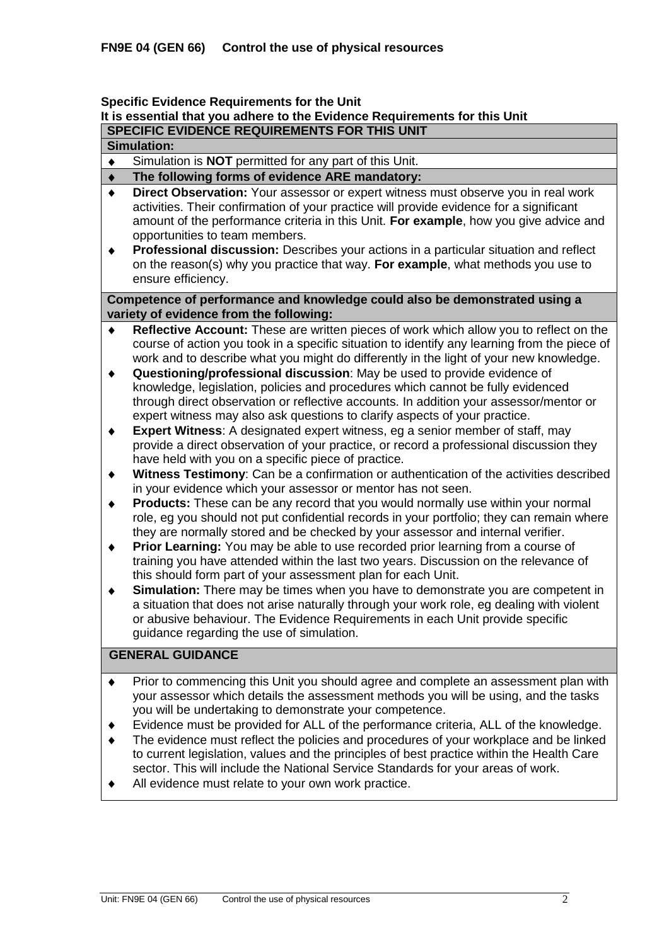### **Specific Evidence Requirements for the Unit**

# **It is essential that you adhere to the Evidence Requirements for this Unit**

**SPECIFIC EVIDENCE REQUIREMENTS FOR THIS UNIT**

## **Simulation:**

Simulation is **NOT** permitted for any part of this Unit.  $\bullet$ 

#### **The following forms of evidence ARE mandatory:**  $\blacklozenge$

- **Direct Observation:** Your assessor or expert witness must observe you in real work  $\bullet$ activities. Their confirmation of your practice will provide evidence for a significant amount of the performance criteria in this Unit. **For example**, how you give advice and opportunities to team members.
- $\ddot{\bullet}$ **Professional discussion:** Describes your actions in a particular situation and reflect on the reason(s) why you practice that way. **For example**, what methods you use to ensure efficiency.

### **Competence of performance and knowledge could also be demonstrated using a variety of evidence from the following:**

- **Reflective Account:** These are written pieces of work which allow you to reflect on the  $\blacklozenge$ course of action you took in a specific situation to identify any learning from the piece of work and to describe what you might do differently in the light of your new knowledge.
- **Questioning/professional discussion**: May be used to provide evidence of  $\blacklozenge$ knowledge, legislation, policies and procedures which cannot be fully evidenced through direct observation or reflective accounts. In addition your assessor/mentor or expert witness may also ask questions to clarify aspects of your practice.
- **Expert Witness**: A designated expert witness, eg a senior member of staff, may  $\blacklozenge$ provide a direct observation of your practice, or record a professional discussion they have held with you on a specific piece of practice.
- **Witness Testimony**: Can be a confirmation or authentication of the activities described  $\ddot{\bullet}$ in your evidence which your assessor or mentor has not seen.
- **Products:** These can be any record that you would normally use within your normal  $\blacklozenge$ role, eg you should not put confidential records in your portfolio; they can remain where they are normally stored and be checked by your assessor and internal verifier.
- **Prior Learning:** You may be able to use recorded prior learning from a course of  $\ddot{\bullet}$ training you have attended within the last two years. Discussion on the relevance of this should form part of your assessment plan for each Unit.
- **Simulation:** There may be times when you have to demonstrate you are competent in  $\ddot{\bullet}$ a situation that does not arise naturally through your work role, eg dealing with violent or abusive behaviour. The Evidence Requirements in each Unit provide specific guidance regarding the use of simulation.

## **GENERAL GUIDANCE**

- Prior to commencing this Unit you should agree and complete an assessment plan with  $\blacklozenge$ your assessor which details the assessment methods you will be using, and the tasks you will be undertaking to demonstrate your competence.
- $\blacktriangle$ Evidence must be provided for ALL of the performance criteria, ALL of the knowledge.
- The evidence must reflect the policies and procedures of your workplace and be linked to current legislation, values and the principles of best practice within the Health Care sector. This will include the National Service Standards for your areas of work.
- All evidence must relate to your own work practice.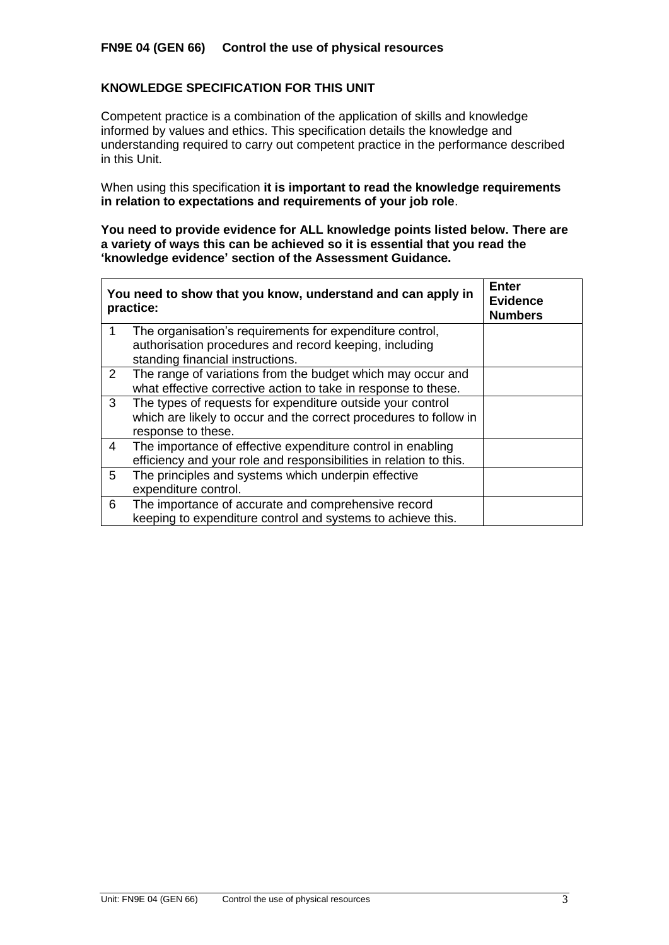## **FN9E 04 (GEN 66) Control the use of physical resources**

## **KNOWLEDGE SPECIFICATION FOR THIS UNIT**

Competent practice is a combination of the application of skills and knowledge informed by values and ethics. This specification details the knowledge and understanding required to carry out competent practice in the performance described in this Unit.

When using this specification **it is important to read the knowledge requirements in relation to expectations and requirements of your job role**.

**You need to provide evidence for ALL knowledge points listed below. There are a variety of ways this can be achieved so it is essential that you read the 'knowledge evidence' section of the Assessment Guidance.**

|                | You need to show that you know, understand and can apply in<br>practice:                                                      | <b>Enter</b><br><b>Evidence</b><br><b>Numbers</b> |
|----------------|-------------------------------------------------------------------------------------------------------------------------------|---------------------------------------------------|
| 1              | The organisation's requirements for expenditure control,<br>authorisation procedures and record keeping, including            |                                                   |
|                | standing financial instructions.                                                                                              |                                                   |
| $\overline{2}$ | The range of variations from the budget which may occur and<br>what effective corrective action to take in response to these. |                                                   |
| 3              | The types of requests for expenditure outside your control                                                                    |                                                   |
|                | which are likely to occur and the correct procedures to follow in<br>response to these.                                       |                                                   |
| 4              | The importance of effective expenditure control in enabling                                                                   |                                                   |
|                | efficiency and your role and responsibilities in relation to this.                                                            |                                                   |
| 5              | The principles and systems which underpin effective                                                                           |                                                   |
|                | expenditure control.                                                                                                          |                                                   |
| 6              | The importance of accurate and comprehensive record                                                                           |                                                   |
|                | keeping to expenditure control and systems to achieve this.                                                                   |                                                   |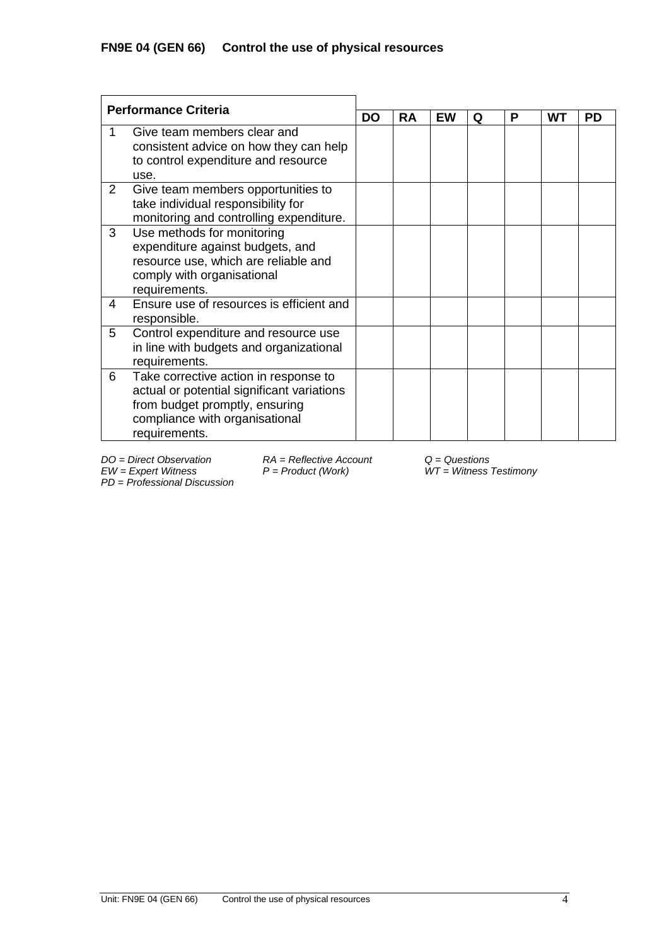| <b>Performance Criteria</b> |                                                                                                                                                                          |           |    |    |   |   |    |           |
|-----------------------------|--------------------------------------------------------------------------------------------------------------------------------------------------------------------------|-----------|----|----|---|---|----|-----------|
|                             |                                                                                                                                                                          | <b>DO</b> | RA | EW | Q | Р | WТ | <b>PD</b> |
|                             | Give team members clear and<br>consistent advice on how they can help<br>to control expenditure and resource<br>use.                                                     |           |    |    |   |   |    |           |
| $\overline{2}$              | Give team members opportunities to<br>take individual responsibility for<br>monitoring and controlling expenditure.                                                      |           |    |    |   |   |    |           |
| 3                           | Use methods for monitoring<br>expenditure against budgets, and<br>resource use, which are reliable and<br>comply with organisational<br>requirements.                    |           |    |    |   |   |    |           |
| 4                           | Ensure use of resources is efficient and<br>responsible.                                                                                                                 |           |    |    |   |   |    |           |
| 5                           | Control expenditure and resource use<br>in line with budgets and organizational<br>requirements.                                                                         |           |    |    |   |   |    |           |
| 6                           | Take corrective action in response to<br>actual or potential significant variations<br>from budget promptly, ensuring<br>compliance with organisational<br>requirements. |           |    |    |   |   |    |           |

*PD* = *Professional Discussion*

*DO = Direct Observation RA = Reflective Account Q = Questions*

*EW = Expert Witness P = Product (Work) WT = Witness Testimony*